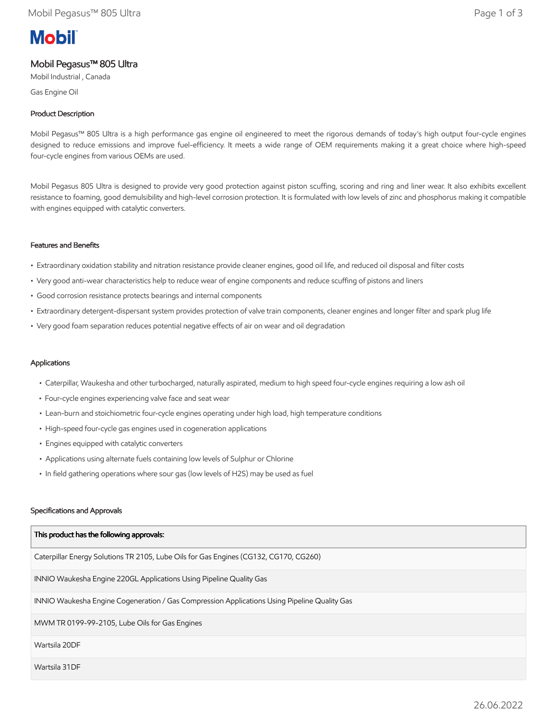# **Mobil**

## Mobil Pegasus™ 805 Ultra

Mobil Industrial , Canada

Gas Engine Oil

### Product Description

Mobil Pegasus™ 805 Ultra is a high performance gas engine oil engineered to meet the rigorous demands of today's high output four-cycle engines designed to reduce emissions and improve fuel-efficiency. It meets a wide range of OEM requirements making it a great choice where high-speed four-cycle engines from various OEMs are used.

Mobil Pegasus 805 Ultra is designed to provide very good protection against piston scuffing, scoring and ring and liner wear. It also exhibits excellent resistance to foaming, good demulsibility and high-level corrosion protection. It is formulated with low levels of zinc and phosphorus making it compatible with engines equipped with catalytic converters.

#### Features and Benefits

- Extraordinary oxidation stability and nitration resistance provide cleaner engines, good oil life, and reduced oil disposal and filter costs
- Very good anti-wear characteristics help to reduce wear of engine components and reduce scuffing of pistons and liners
- Good corrosion resistance protects bearings and internal components
- Extraordinary detergent-dispersant system provides protection of valve train components, cleaner engines and longer filter and spark plug life
- Very good foam separation reduces potential negative effects of air on wear and oil degradation

#### Applications

- Caterpillar, Waukesha and other turbocharged, naturally aspirated, medium to high speed four-cycle engines requiring a low ash oil
- Four-cycle engines experiencing valve face and seat wear
- Lean-burn and stoichiometric four-cycle engines operating under high load, high temperature conditions
- High-speed four-cycle gas engines used in cogeneration applications
- Engines equipped with catalytic converters
- Applications using alternate fuels containing low levels of Sulphur or Chlorine
- In field gathering operations where sour gas (low levels of H2S) may be used as fuel

#### Specifications and Approvals

| This product has the following approvals:                                                    |
|----------------------------------------------------------------------------------------------|
| Caterpillar Energy Solutions TR 2105, Lube Oils for Gas Engines (CG132, CG170, CG260)        |
| INNIO Waukesha Engine 220GL Applications Using Pipeline Quality Gas                          |
| INNIO Waukesha Engine Cogeneration / Gas Compression Applications Using Pipeline Quality Gas |
| MWM TR 0199-99-2105, Lube Oils for Gas Engines                                               |
| Wartsila 20DF                                                                                |
| Wartsila 31DF                                                                                |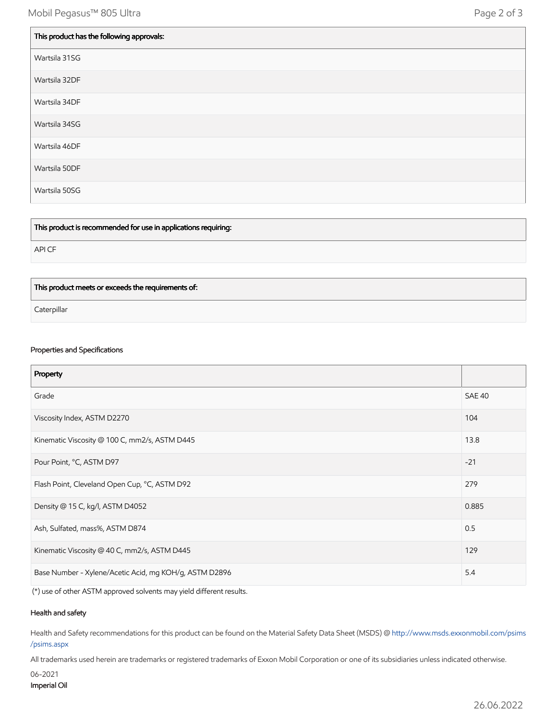| This product has the following approvals: |
|-------------------------------------------|
| Wartsila 31SG                             |
| Wartsila 32DF                             |
| Wartsila 34DF                             |
| Wartsila 34SG                             |
| Wartsila 46DF                             |
| Wartsila 50DF                             |
| Wartsila 50SG                             |

This product is recommended for use in applications requiring:

API CF

#### This product meets or exceeds the requirements of:

**Caterpillar** 

#### Properties and Specifications

| Property                                               |               |
|--------------------------------------------------------|---------------|
| Grade                                                  | <b>SAE 40</b> |
| Viscosity Index, ASTM D2270                            | 104           |
| Kinematic Viscosity @ 100 C, mm2/s, ASTM D445          | 13.8          |
| Pour Point, °C, ASTM D97                               | $-21$         |
| Flash Point, Cleveland Open Cup, °C, ASTM D92          | 279           |
| Density @ 15 C, kg/l, ASTM D4052                       | 0.885         |
| Ash, Sulfated, mass%, ASTM D874                        | 0.5           |
| Kinematic Viscosity @ 40 C, mm2/s, ASTM D445           | 129           |
| Base Number - Xylene/Acetic Acid, mg KOH/g, ASTM D2896 | 5.4           |

(\*) use of other ASTM approved solvents may yield different results.

#### Health and safety

Health and Safety recommendations for this product can be found on the Material Safety Data Sheet (MSDS) @ [http://www.msds.exxonmobil.com/psims](http://www.msds.exxonmobil.com/psims/psims.aspx) /psims.aspx

All trademarks used herein are trademarks or registered trademarks of Exxon Mobil Corporation or one of its subsidiaries unless indicated otherwise.

```
06-2021
Imperial Oil
```